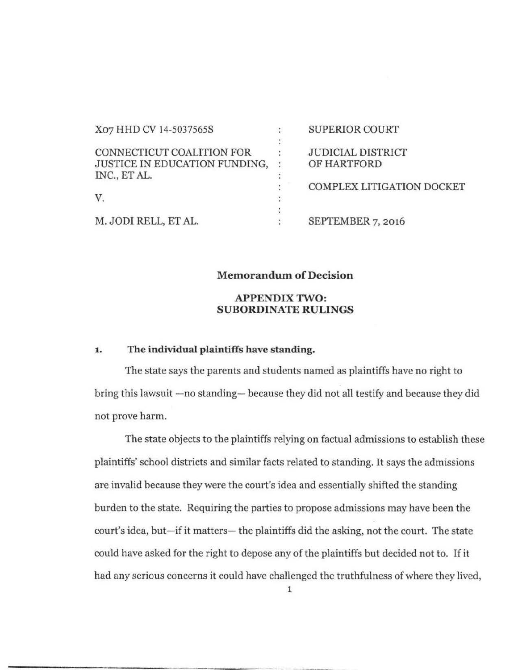| X07 HHD CV 14-5037565S        |                | <b>SUPERIOR COURT</b>     |
|-------------------------------|----------------|---------------------------|
|                               |                |                           |
| CONNECTICUT COALITION FOR     |                | <b>JUDICIAL DISTRICT</b>  |
| JUSTICE IN EDUCATION FUNDING, | $\ddot{\cdot}$ | OF HARTFORD               |
| INC., ET AL.                  |                |                           |
|                               |                | COMPLEX LITIGATION DOCKET |
| V.                            |                |                           |
|                               |                |                           |
| M. JODI RELL, ET AL.          |                | SEPTEMBER 7, 2016         |

## Memorandum of Decision

# APPENDIX TWO: SUBORDINATE RULINGS

# 1. The individual plaintiffs have standing.

The state says the parents and students named as plaintiffs have no right to bring this lawsuit -no standing- because they did not all testify and because they did not prove harm.

The state objects to the plaintiffs relying on factual admissions to establish these plaintiffs' school districts and similar facts related to standing. It says the admissions are invalid because they were the court's idea and essentially shifted the standing burden to the state. Requiring the parties to propose admissions may have been the court's idea, but-if it matters- the plaintiffs did the asking, not the court. The state could have asked for the right to depose any of the plaintiffs but decided not to. If it had any serious concerns it could have challenged the truthfulness of where they lived,

1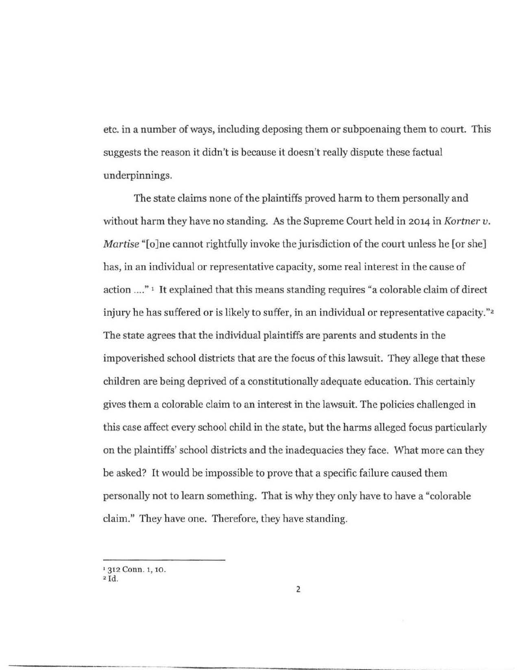etc. in a number of ways, including deposing them or subpoenaing them to court. This suggests the reason it didn't is because it doesn't really dispute these factual underpinnings.

The state claims none of the plaintiffs proved harm to them personally and without harm they have no standing. As the Supreme Court held in 2014 in *Kortner u. Martise* "[o]ne cannot rightfully invoke the jurisdiction of the court unless he [or she] has, in an individual or representative capacity, some real interest in the cause of action .... " 1 It explained that this means standing requires "a colorable claim of direct injury he has suffered or is likely to suffer, in an individual or representative capacity."<sup>2</sup> The state agrees that the individual plaintiffs are parents and students in the impoverished school districts that are the focus of this lawsuit. They allege that these children are being deprived of a constitutionally adequate education. This certainly gives them a colorable claim to an interest in the lawsuit. The policies challenged in this case affect every school child in the state, but the harms alleged focus particularly on the plaintiffs' school districts and the inadequacies they face. What more can they be asked? It would be impossible to prove that a specific failure caused them personally not to learn something. That is why they only have to have a "colorable claim." They have one. Therefore, they have standing.

<sup>&</sup>lt;sup>1</sup> 312 Conn. 1, 10.

 $2$ Id.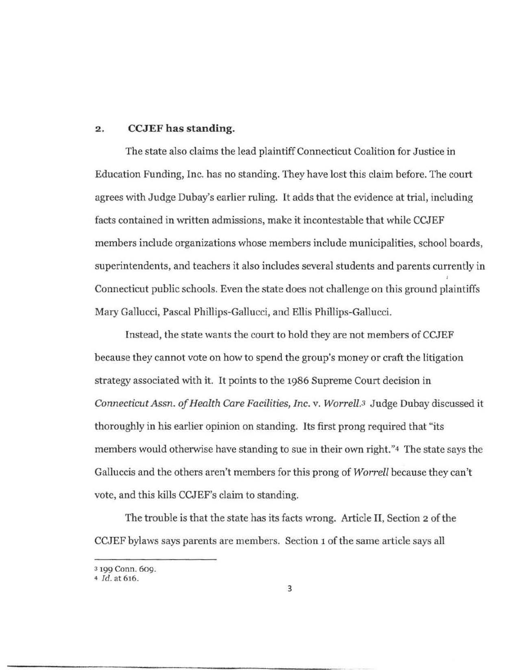#### **2. CCJEF has standing.**

The state also claims the lead plaintiff Connecticut Coalition for Justice in Education Funding, Inc. has no standing. They have lost this claim before. The court agrees with Judge Dubay's earlier ruling. It adds that the evidence at trial, including facts contained in written admissions, make it incontestable that while CCJEF members include organizations whose members include municipalities, school boards, superintendents, and teachers it also includes several students and parents currently in Connecticut public schools. Even the state does not challenge on this ground plaintiffs Mary Gallucci, Pascal Phillips-Gallucci, and Ellis Phillips-Gallucci.

Instead, the state wants the court to hold they are not members of CCJEF because they cannot vote on how to spend the group's money or craft the litigation strategy associated with it. It points to the 1986 Supreme Court decision in *Connecticut Assn. of Health Care Facilities, Inc.* v. *Worrel/.3* Judge Dubay discussed it thoroughly in his earlier opinion on standing. Its first prong required that "its members would otherwise have standing to sue in their own right."4 The state says the Galluccis and the others aren't members for this prong of *Worrell* because they can't vote, and this kills CCJEF's claim to standing.

The trouble is that the state has its facts wrong. Article II, Section 2 of the CCJEF bylaws says parents are members. Section 1 of the same article says all

<sup>3 199</sup> Conn. 609.

<sup>&</sup>quot; *Id.* at 616.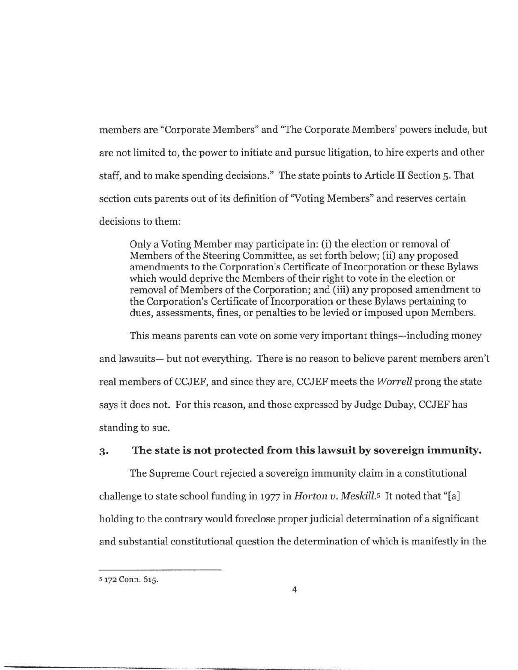members are "Corporate Members" and "The Corporate Members' powers include, but are not limited to, the power to initiate and pursue litigation, to hire experts and other staff, and to make spending decisions." The state points to Article II Section 5. That section cuts parents out of its definition of "Voting Members" and reserves certain decisions to them:

Only a Voting Member may participate in: (i) the election or removal of Members of the Steering Committee, as set forth below; (ii) any proposed amendments to the Corporation's Certificate of Incorporation or these Bylaws which would deprive the Members of their right to vote in the election or removal of Members of the Corporation; and (iii) any proposed amendment to the Corporation's Certificate of Incorporation or these Bylaws pertaining to dues, assessments, fines, or penalties to be levied or imposed upon Members.

This means parents can vote on some very important things—including money and lawsuits- but not everything. There is no reason to believe parent members aren't real members of CCJEF, and since they are, CCJEF meets the *Worrell* prong the state says it does not. For this reason, and those expressed by Judge Dubay, CCJEF has standing to sue.

# **3· The state is not protected from this lawsuit by sovereign immunity.**

The Supreme Court rejected a sovereign immunity claim in a constitutional challenge to state school funding in 1977 in *Horton v. Meskill.s* It noted that "[a] holding to the contrary would foreclose proper judicial determination of a significant and substantial constitutional question the determination of which is manifestly in the

s 172 Conn. 615.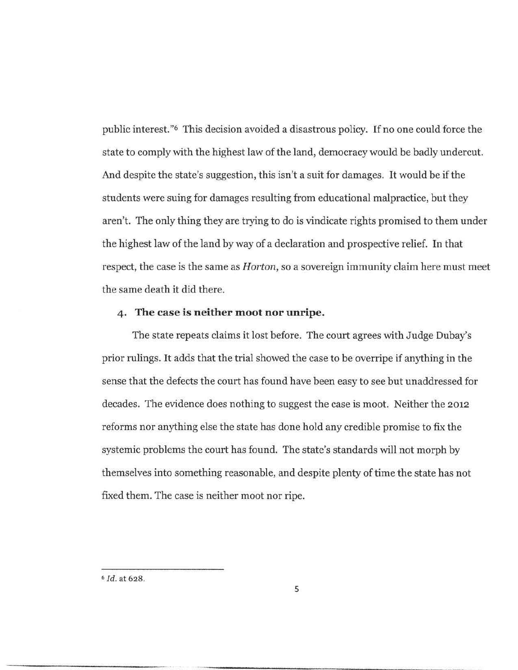public interest. "6 This decision avoided a disastrous policy. If no one could force the state to comply with the highest law of the land, democracy would be badly undercut. And despite the state's suggestion, this isn't a suit for damages. It would be if the students were suing for damages resulting from educational malpractice, but they aren't. The only thing they are trying to do is vindicate rights promised to them under the highest law of the land by way of a declaration and prospective relief. In that respect, the case is the same as *Horton,* so a sovereign immunity claim here must meet the same death it did there.

## **4· The case is neither moot nor unripe.**

The state repeats claims it lost before. The court agrees with Judge Dubay's prior rulings. It adds that the trial showed the case to be overripe if anything in the sense that the defects the court has found have been easy to see but unaddressed for decades. The evidence does nothing to suggest the case is moot. Neither the 2012 reforms nor anything else the state has done hold any credible promise to fix the systemic problems the court has found. The state's standards will not morph by themselves into something reasonable, and despite plenty of time the state has not fixed them. The case is neither moot nor ripe.

<sup>6</sup>*I d.* at 628.